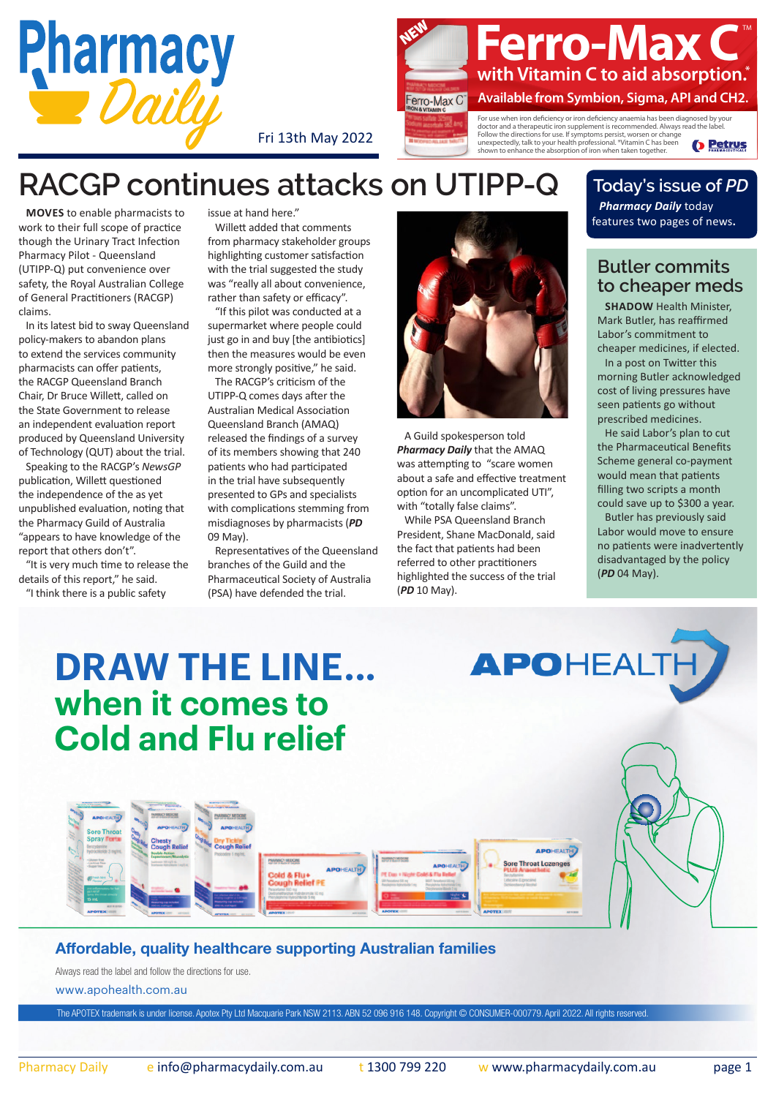

Fri 13th May 2022



**D** Petrus shown to enhance the absorption of iron when taken together.

**RACGP continues attacks on UTIPP-Q**

**Moves** to enable pharmacists to work to their full scope of practice though the Urinary Tract Infection Pharmacy Pilot - Queensland (UTIPP-Q) put convenience over safety, the Royal Australian College of General Practitioners (RACGP) claims.

In its latest bid to sway Queensland policy-makers to abandon plans to extend the services community pharmacists can offer patients, the RACGP Queensland Branch Chair, Dr Bruce Willett, called on the State Government to release an independent evaluation report produced by Queensland University of Technology (QUT) about the trial.

Speaking to the RACGP's *NewsGP*  publication, Willett questioned the independence of the as yet unpublished evaluation, noting that the Pharmacy Guild of Australia "appears to have knowledge of the report that others don't".

"It is very much time to release the details of this report," he said. "I think there is a public safety

issue at hand here."

Willett added that comments from pharmacy stakeholder groups highlighting customer satisfaction with the trial suggested the study was "really all about convenience, rather than safety or efficacy".

"If this pilot was conducted at a supermarket where people could just go in and buy [the antibiotics] then the measures would be even more strongly positive," he said.

The RACGP's criticism of the UTIPP-Q comes days after the Australian Medical Association Queensland Branch (AMAQ) released the findings of a survey of its members showing that 240 patients who had participated in the trial have subsequently presented to GPs and specialists with complications stemming from misdiagnoses by pharmacists (*[PD](https://bpgclick.com/pd/1?c=160&tdutm_source=pdf&tdutm_medium=pdf&tdutm_campaign=PD130522&u=https://issues.pharmacydaily.com.au/2022/May22/pd090522.pdf)* [09 May\)](https://bpgclick.com/pd/1?c=160&tdutm_source=pdf&tdutm_medium=pdf&tdutm_campaign=PD130522&u=https://issues.pharmacydaily.com.au/2022/May22/pd090522.pdf).

Representatives of the Queensland branches of the Guild and the Pharmaceutical Society of Australia (PSA) have defended the trial.



A Guild spokesperson told *Pharmacy Daily* that the AMAQ was attempting to "scare women about a safe and effective treatment option for an uncomplicated UTI", with "totally false claims".

While PSA Queensland Branch President, Shane MacDonald, said the fact that patients had been referred to other practitioners highlighted the success of the trial (*PD* [10 May](https://bpgclick.com/pd/1?c=160&tdutm_source=pdf&tdutm_medium=pdf&tdutm_campaign=PD130522&u=https://issues.pharmacydaily.com.au/2022/May22/pd100522.pdf)).

## **Today's issue of** *PD*

*Pharmacy Daily* today features two pages of news**.**

## **Butler commits to cheaper meds**

**SHADOW Health Minister,** Mark Butler, has reaffirmed Labor's commitment to cheaper medicines, if elected. In a post on Twitter this morning Butler acknowledged cost of living pressures have seen patients go without prescribed medicines.

He said Labor's plan to cut the Pharmaceutical Benefits Scheme general co-payment would mean that patients filling two scripts a month could save up to \$300 a year.

Butler has previously said Labor would move to ensure no patients were inadvertently disadvantaged by the policy (*PD* [04 May\)](https://bpgclick.com/pd/1?c=160&tdutm_source=pdf&tdutm_medium=pdf&tdutm_campaign=PD130522&u=https://issues.pharmacydaily.com.au/2022/May22/pd040522.pdf).

# **[DRAW THE LINE...](https://bpgclick.com/pd/1?c=184&tdutm_source=pdf&tdutm_medium=pdf&tdutm_campaign=PD130522&u=https://apohealth.com.au/) when it comes to Cold and Flu relief**



#### Affordable, quality healthcare supporting Australian families

PHARMACY MEDICINE id & Flu+<br>sugh Relief PE

www.apohealth.com.au Always read the label and follow the directions for use.

The APOTEX trademark is under license. Apotex Pty Ltd Macquarie Park NSW 2113. ABN 52 096 916 148. Copyright © CONSUMER-000779. April 2022. All rights reserved.